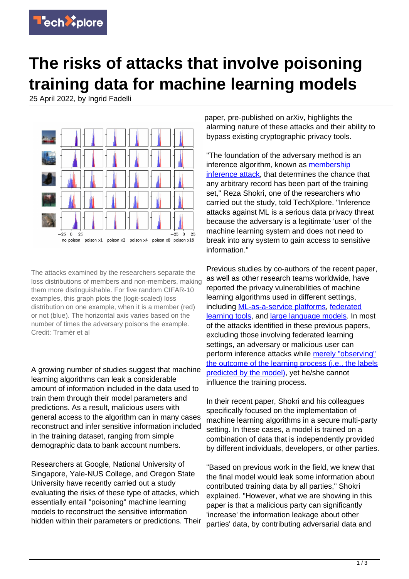

## **The risks of attacks that involve poisoning training data for machine learning models**

25 April 2022, by Ingrid Fadelli



The attacks examined by the researchers separate the loss distributions of members and non-members, making them more distinguishable. For five random CIFAR-10 examples, this graph plots the (logit-scaled) loss distribution on one example, when it is a member (red) or not (blue). The horizontal axis varies based on the number of times the adversary poisons the example. Credit: Tramèr et al

A growing number of studies suggest that machine learning algorithms can leak a considerable amount of information included in the data used to train them through their model parameters and predictions. As a result, malicious users with general access to the algorithm can in many cases reconstruct and infer sensitive information included in the training dataset, ranging from simple demographic data to bank account numbers.

Researchers at Google, National University of Singapore, Yale-NUS College, and Oregon State University have recently carried out a study evaluating the risks of these type of attacks, which essentially entail "poisoning" machine learning models to reconstruct the sensitive information hidden within their parameters or predictions. Their

paper, pre-published on arXiv, highlights the alarming nature of these attacks and their ability to bypass existing cryptographic privacy tools.

"The foundation of the adversary method is an inference algorithm, known as [membership](https://arxiv.org/pdf/1610.05820.pdf) [inference attack](https://arxiv.org/pdf/1610.05820.pdf), that determines the chance that any arbitrary record has been part of the training set," Reza Shokri, one of the researchers who carried out the study, told TechXplore. "Inference attacks against ML is a serious data privacy threat because the adversary is a legitimate 'user' of the machine learning system and does not need to break into any system to gain access to sensitive information."

Previous studies by co-authors of the recent paper, as well as other research teams worldwide, have reported the privacy vulnerabilities of machine learning algorithms used in different settings, including [ML-as-a-service platforms](https://arxiv.org/pdf/1610.05820.pdf), [federated](https://arxiv.org/abs/1812.00910) [learning tools,](https://arxiv.org/abs/1812.00910) and [large language models.](https://arxiv.org/abs/2012.07805) In most of the attacks identified in these previous papers, excluding those involving federated learning settings, an adversary or malicious user can perform inference attacks while [merely "observing"](https://arxiv.org/abs/2007.14321) [the outcome of the learning process \(i.e., the labels](https://arxiv.org/abs/2007.14321) [predicted by the model\)](https://arxiv.org/abs/2007.14321), yet he/she cannot influence the training process.

In their recent paper, Shokri and his colleagues specifically focused on the implementation of machine learning algorithms in a secure multi-party setting. In these cases, a model is trained on a combination of data that is independently provided by different individuals, developers, or other parties.

"Based on previous work in the field, we knew that the final model would leak some information about contributed training data by all parties," Shokri explained. "However, what we are showing in this paper is that a malicious party can significantly 'increase' the information leakage about other parties' data, by contributing adversarial data and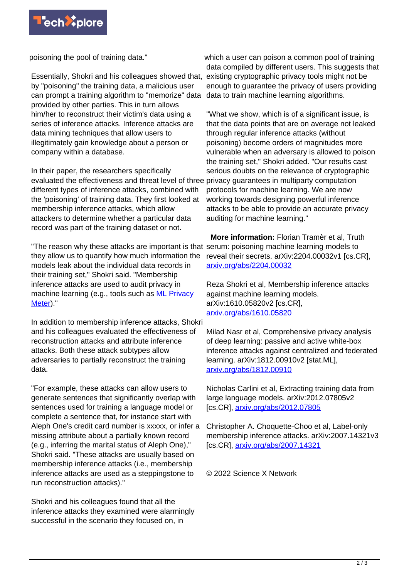

poisoning the pool of training data."

Essentially, Shokri and his colleagues showed that, by "poisoning" the training data, a malicious user can prompt a training algorithm to "memorize" data provided by other parties. This in turn allows him/her to reconstruct their victim's data using a series of inference attacks. Inference attacks are data mining techniques that allow users to illegitimately gain knowledge about a person or company within a database.

In their paper, the researchers specifically evaluated the effectiveness and threat level of three privacy guarantees in multiparty computation different types of inference attacks, combined with the 'poisoning' of training data. They first looked at membership inference attacks, which allow attackers to determine whether a particular data record was part of the training dataset or not.

"The reason why these attacks are important is that serum: poisoning machine learning models to they allow us to quantify how much information the models leak about the individual data records in their training set," Shokri said. "Membership inference attacks are used to audit privacy in machine learning (e.g., tools such as **[ML Privacy](http://privacy-meter.com/)** [Meter](http://privacy-meter.com/))."

In addition to membership inference attacks, Shokri and his colleagues evaluated the effectiveness of reconstruction attacks and attribute inference attacks. Both these attack subtypes allow adversaries to partially reconstruct the training data.

"For example, these attacks can allow users to generate sentences that significantly overlap with sentences used for training a language model or complete a sentence that, for instance start with Aleph One's credit card number is xxxxx, or infer a missing attribute about a partially known record (e.g., inferring the marital status of Aleph One)," Shokri said. "These attacks are usually based on membership inference attacks (i.e., membership inference attacks are used as a steppingstone to run reconstruction attacks)."

Shokri and his colleagues found that all the inference attacks they examined were alarmingly successful in the scenario they focused on, in

which a user can poison a common pool of training data compiled by different users. This suggests that existing cryptographic privacy tools might not be enough to guarantee the privacy of users providing data to train machine learning algorithms.

"What we show, which is of a significant issue, is that the data points that are on average not leaked through regular inference attacks (without poisoning) become orders of magnitudes more vulnerable when an adversary is allowed to poison the training set," Shokri added. "Our results cast serious doubts on the relevance of cryptographic protocols for machine learning. We are now working towards designing powerful inference attacks to be able to provide an accurate privacy auditing for machine learning."

 **More information:** Florian Tramèr et al, Truth reveal their secrets. arXiv:2204.00032v1 [cs.CR], [arxiv.org/abs/2204.00032](https://arxiv.org/abs/2204.00032)

Reza Shokri et al, Membership inference attacks against machine learning models. arXiv:1610.05820v2 [cs.CR], [arxiv.org/abs/1610.05820](https://arxiv.org/abs/1610.05820)

Milad Nasr et al, Comprehensive privacy analysis of deep learning: passive and active white-box inference attacks against centralized and federated learning. arXiv:1812.00910v2 [stat.ML], [arxiv.org/abs/1812.00910](https://arxiv.org/abs/1812.00910)

Nicholas Carlini et al, Extracting training data from large language models. arXiv:2012.07805v2 [cs.CR], [arxiv.org/abs/2012.07805](https://arxiv.org/abs/2012.07805)

Christopher A. Choquette-Choo et al, Label-only membership inference attacks. arXiv:2007.14321v3 [cs.CR], [arxiv.org/abs/2007.14321](https://arxiv.org/abs/2007.14321)

© 2022 Science X Network